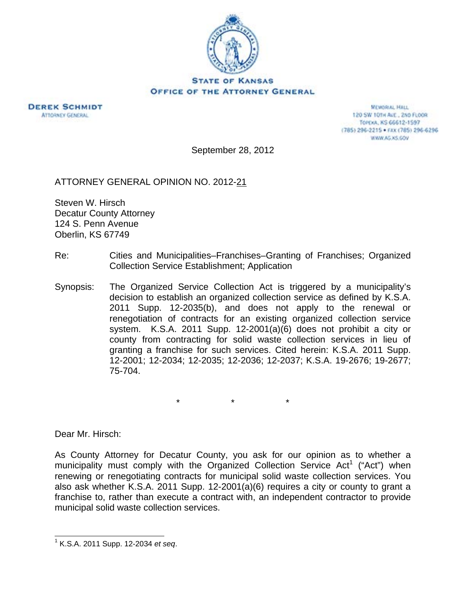



**MEMORIAL HALL** 120 SW 101H ALE., 2ND FLOOR TOPEKA, KS 66612-1597 (785) 296-2215 · FAX (785) 296-6296 WWW.AG.XS.GOV

September 28, 2012

ATTORNEY GENERAL OPINION NO. 2012-21

Steven W. Hirsch Decatur County Attorney 124 S. Penn Avenue Oberlin, KS 67749

- Re: Cities and Municipalities–Franchises–Granting of Franchises; Organized Collection Service Establishment; Application
- Synopsis: The Organized Service Collection Act is triggered by a municipality's decision to establish an organized collection service as defined by K.S.A. 2011 Supp. 12-2035(b), and does not apply to the renewal or renegotiation of contracts for an existing organized collection service system. K.S.A. 2011 Supp. 12-2001(a)(6) does not prohibit a city or county from contracting for solid waste collection services in lieu of granting a franchise for such services. Cited herein: K.S.A. 2011 Supp. 12-2001; 12-2034; 12-2035; 12-2036; 12-2037; K.S.A. 19-2676; 19-2677; 75-704.

\* \* \*

Dear Mr. Hirsch:

As County Attorney for Decatur County, you ask for our opinion as to whether a municipality must comply with the Organized Collection Service Act<sup>1</sup> ("Act") when renewing or renegotiating contracts for municipal solid waste collection services. You also ask whether K.S.A. 2011 Supp. 12-2001(a)(6) requires a city or county to grant a franchise to, rather than execute a contract with, an independent contractor to provide municipal solid waste collection services.

 $\overline{a}$ 1 K.S.A. 2011 Supp. 12-2034 *et seq*.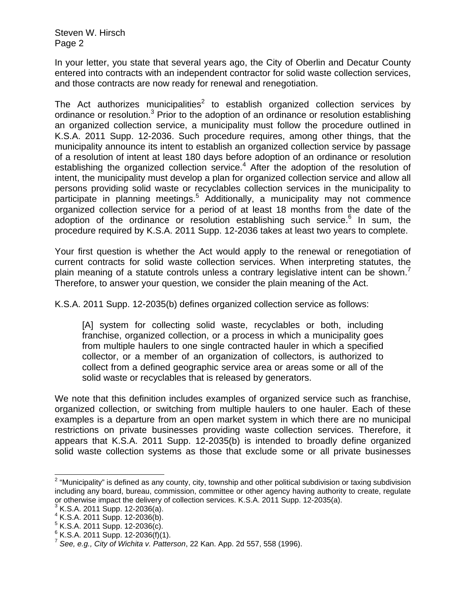In your letter, you state that several years ago, the City of Oberlin and Decatur County entered into contracts with an independent contractor for solid waste collection services, and those contracts are now ready for renewal and renegotiation.

The Act authorizes municipalities<sup>2</sup> to establish organized collection services by ordinance or resolution.<sup>3</sup> Prior to the adoption of an ordinance or resolution establishing an organized collection service, a municipality must follow the procedure outlined in K.S.A. 2011 Supp. 12-2036. Such procedure requires, among other things, that the municipality announce its intent to establish an organized collection service by passage of a resolution of intent at least 180 days before adoption of an ordinance or resolution establishing the organized collection service.<sup>4</sup> After the adoption of the resolution of intent, the municipality must develop a plan for organized collection service and allow all persons providing solid waste or recyclables collection services in the municipality to participate in planning meetings.<sup>5</sup> Additionally, a municipality may not commence organized collection service for a period of at least 18 months from the date of the adoption of the ordinance or resolution establishing such service.<sup>6</sup> In sum, the procedure required by K.S.A. 2011 Supp. 12-2036 takes at least two years to complete.

Your first question is whether the Act would apply to the renewal or renegotiation of current contracts for solid waste collection services. When interpreting statutes, the plain meaning of a statute controls unless a contrary legislative intent can be shown.<sup> $\prime$ </sup> Therefore, to answer your question, we consider the plain meaning of the Act.

K.S.A. 2011 Supp. 12-2035(b) defines organized collection service as follows:

[A] system for collecting solid waste, recyclables or both, including franchise, organized collection, or a process in which a municipality goes from multiple haulers to one single contracted hauler in which a specified collector, or a member of an organization of collectors, is authorized to collect from a defined geographic service area or areas some or all of the solid waste or recyclables that is released by generators.

We note that this definition includes examples of organized service such as franchise, organized collection, or switching from multiple haulers to one hauler. Each of these examples is a departure from an open market system in which there are no municipal restrictions on private businesses providing waste collection services. Therefore, it appears that K.S.A. 2011 Supp. 12-2035(b) is intended to broadly define organized solid waste collection systems as those that exclude some or all private businesses

<sup>&</sup>lt;u>2</u><br><sup>2</sup> "Municipality" is defined as any county, city, township and other political subdivision or taxing subdivision including any board, bureau, commission, committee or other agency having authority to create, regulate or otherwise impact the delivery of collection services. K.S.A. 2011 Supp. 12-2035(a).

 $3$  K.S.A. 2011 Supp. 12-2036(a).

<sup>4</sup> K.S.A. 2011 Supp. 12-2036(b).

 $5$  K.S.A. 2011 Supp. 12-2036(c).

 $6$  K.S.A. 2011 Supp. 12-2036(f)(1).

<sup>7</sup> *See, e.g., City of Wichita v. Patterson*, 22 Kan. App. 2d 557, 558 (1996).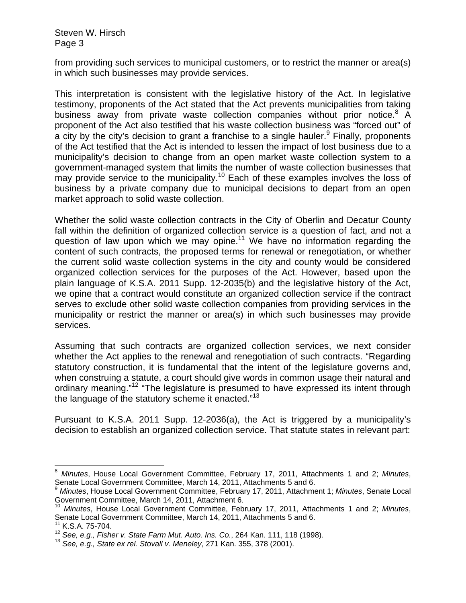from providing such services to municipal customers, or to restrict the manner or area(s) in which such businesses may provide services.

This interpretation is consistent with the legislative history of the Act. In legislative testimony, proponents of the Act stated that the Act prevents municipalities from taking business away from private waste collection companies without prior notice.<sup>8</sup> A proponent of the Act also testified that his waste collection business was "forced out" of  $\alpha$  city by the city's decision to grant a franchise to a single hauler.<sup>9</sup> Finally, proponents of the Act testified that the Act is intended to lessen the impact of lost business due to a municipality's decision to change from an open market waste collection system to a government-managed system that limits the number of waste collection businesses that may provide service to the municipality.<sup>10</sup> Each of these examples involves the loss of business by a private company due to municipal decisions to depart from an open market approach to solid waste collection.

Whether the solid waste collection contracts in the City of Oberlin and Decatur County fall within the definition of organized collection service is a question of fact, and not a question of law upon which we may opine.<sup>11</sup> We have no information regarding the content of such contracts, the proposed terms for renewal or renegotiation, or whether the current solid waste collection systems in the city and county would be considered organized collection services for the purposes of the Act. However, based upon the plain language of K.S.A. 2011 Supp. 12-2035(b) and the legislative history of the Act, we opine that a contract would constitute an organized collection service if the contract serves to exclude other solid waste collection companies from providing services in the municipality or restrict the manner or area(s) in which such businesses may provide services.

Assuming that such contracts are organized collection services, we next consider whether the Act applies to the renewal and renegotiation of such contracts. "Regarding statutory construction, it is fundamental that the intent of the legislature governs and, when construing a statute, a court should give words in common usage their natural and ordinary meaning."<sup>12</sup> "The legislature is presumed to have expressed its intent through the language of the statutory scheme it enacted."<sup>13</sup>

Pursuant to K.S.A. 2011 Supp. 12-2036(a), the Act is triggered by a municipality's decision to establish an organized collection service. That statute states in relevant part:

l

<sup>8</sup> *Minutes*, House Local Government Committee, February 17, 2011, Attachments 1 and 2; *Minutes*, Senate Local Government Committee, March 14, 2011, Attachments 5 and 6.

<sup>9</sup> *Minutes*, House Local Government Committee, February 17, 2011, Attachment 1; *Minutes*, Senate Local Government Committee, March 14, 2011, Attachment 6.

<sup>10</sup> *Minutes*, House Local Government Committee, February 17, 2011, Attachments 1 and 2; *Minutes*, Senate Local Government Committee, March 14, 2011, Attachments 5 and 6.

 $11$  K.S.A. 75-704.

<sup>12</sup> *See, e.g., Fisher v. State Farm Mut. Auto. Ins. Co.*, 264 Kan. 111, 118 (1998). 13 *See, e.g., State ex rel. Stovall v. Meneley*, 271 Kan. 355, 378 (2001).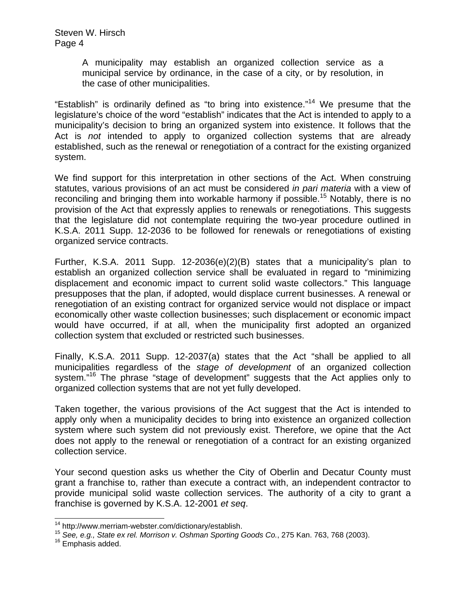> A municipality may establish an organized collection service as a municipal service by ordinance, in the case of a city, or by resolution, in the case of other municipalities.

"Establish" is ordinarily defined as "to bring into existence."<sup>14</sup> We presume that the legislature's choice of the word "establish" indicates that the Act is intended to apply to a municipality's decision to bring an organized system into existence. It follows that the Act is *not* intended to apply to organized collection systems that are already established, such as the renewal or renegotiation of a contract for the existing organized system.

We find support for this interpretation in other sections of the Act. When construing statutes, various provisions of an act must be considered *in pari materia* with a view of reconciling and bringing them into workable harmony if possible.<sup>15</sup> Notably, there is no provision of the Act that expressly applies to renewals or renegotiations. This suggests that the legislature did not contemplate requiring the two-year procedure outlined in K.S.A. 2011 Supp. 12-2036 to be followed for renewals or renegotiations of existing organized service contracts.

Further, K.S.A. 2011 Supp. 12-2036(e)(2)(B) states that a municipality's plan to establish an organized collection service shall be evaluated in regard to "minimizing displacement and economic impact to current solid waste collectors." This language presupposes that the plan, if adopted, would displace current businesses. A renewal or renegotiation of an existing contract for organized service would not displace or impact economically other waste collection businesses; such displacement or economic impact would have occurred, if at all, when the municipality first adopted an organized collection system that excluded or restricted such businesses.

Finally, K.S.A. 2011 Supp. 12-2037(a) states that the Act "shall be applied to all municipalities regardless of the *stage of development* of an organized collection system."<sup>16</sup> The phrase "stage of development" suggests that the Act applies only to organized collection systems that are not yet fully developed.

Taken together, the various provisions of the Act suggest that the Act is intended to apply only when a municipality decides to bring into existence an organized collection system where such system did not previously exist. Therefore, we opine that the Act does not apply to the renewal or renegotiation of a contract for an existing organized collection service.

Your second question asks us whether the City of Oberlin and Decatur County must grant a franchise to, rather than execute a contract with, an independent contractor to provide municipal solid waste collection services. The authority of a city to grant a franchise is governed by K.S.A. 12-2001 *et seq*.

<sup>&</sup>lt;sup>14</sup> http://www.merriam-webster.com/dictionary/establish.

<sup>15</sup> See, e.g., State ex rel. Morrison v. Oshman Sporting Goods Co., 275 Kan. 763, 768 (2003).<br><sup>16</sup> Emphasis added.